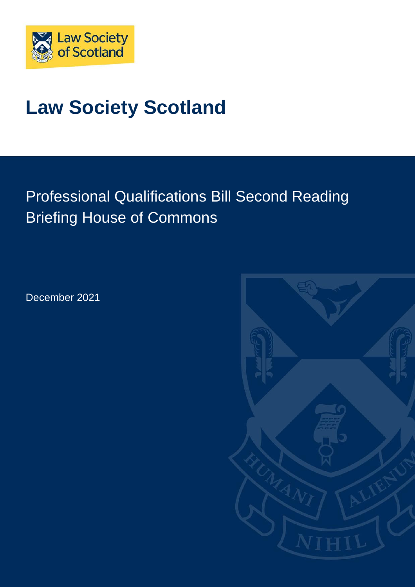

# **Law Society Scotland**

## Professional Qualifications Bill Second Reading Briefing House of Commons

December 2021

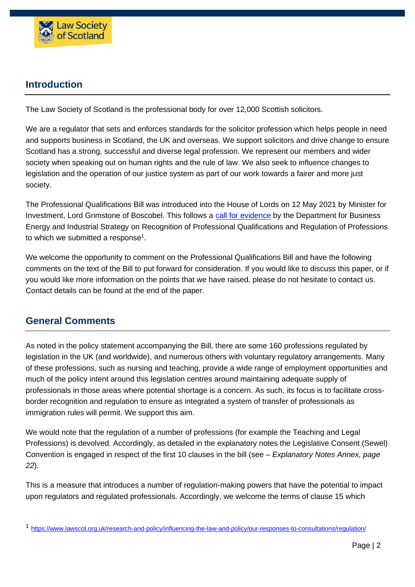

## **Introduction**

The Law Society of Scotland is the professional body for over 12,000 Scottish solicitors.

We are a regulator that sets and enforces standards for the solicitor profession which helps people in need and supports business in Scotland, the UK and overseas. We support solicitors and drive change to ensure Scotland has a strong, successful and diverse legal profession. We represent our members and wider society when speaking out on human rights and the rule of law. We also seek to influence changes to legislation and the operation of our justice system as part of our work towards a fairer and more just society.

The Professional Qualifications Bill was introduced into the House of Lords on 12 May 2021 by Minister for Investment, Lord Grimstone of Boscobel. This follows a [call for evidence](https://assets.publishing.service.gov.uk/government/uploads/system/uploads/attachment_data/file/911936/recognition-professional-qualifications-professions-cfe.pdf) by the Department for Business Energy and Industrial Strategy on Recognition of Professional Qualifications and Regulation of Professions to which we submitted a response $^{\rm 1}.$ 

We welcome the opportunity to comment on the Professional Qualifications Bill and have the following comments on the text of the Bill to put forward for consideration. If you would like to discuss this paper, or if you would like more information on the points that we have raised, please do not hesitate to contact us. Contact details can be found at the end of the paper.

## **General Comments**

As noted in the policy statement accompanying the Bill, there are some 160 professions regulated by legislation in the UK (and worldwide), and numerous others with voluntary regulatory arrangements. Many of these professions, such as nursing and teaching, provide a wide range of employment opportunities and much of the policy intent around this legislation centres around maintaining adequate supply of professionals in those areas where potential shortage is a concern. As such, its focus is to facilitate crossborder recognition and regulation to ensure as integrated a system of transfer of professionals as immigration rules will permit. We support this aim.

We would note that the regulation of a number of professions (for example the Teaching and Legal Professions) is devolved. Accordingly, as detailed in the explanatory notes the Legislative Consent (Sewel) Convention is engaged in respect of the first 10 clauses in the bill (see – *Explanatory Notes Annex, page 22*).

This is a measure that introduces a number of regulation-making powers that have the potential to impact upon regulators and regulated professionals. Accordingly, we welcome the terms of clause 15 which

<sup>1</sup> <https://www.lawscot.org.uk/research-and-policy/influencing-the-law-and-policy/our-responses-to-consultations/regulation/>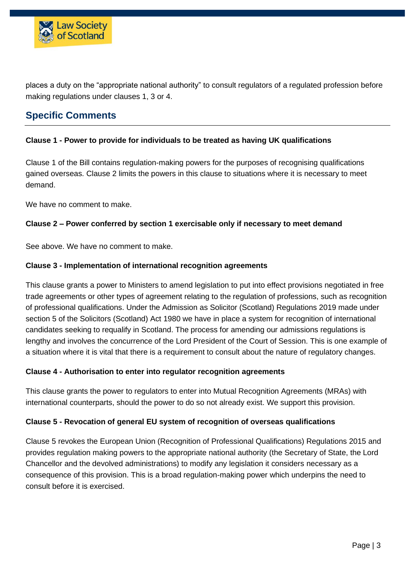

places a duty on the "appropriate national authority" to consult regulators of a regulated profession before making regulations under clauses 1, 3 or 4.

## **Specific Comments**

#### **Clause 1 - Power to provide for individuals to be treated as having UK qualifications**

Clause 1 of the Bill contains regulation-making powers for the purposes of recognising qualifications gained overseas. Clause 2 limits the powers in this clause to situations where it is necessary to meet demand.

We have no comment to make.

#### **Clause 2 – Power conferred by section 1 exercisable only if necessary to meet demand**

See above. We have no comment to make.

#### **Clause 3 - Implementation of international recognition agreements**

This clause grants a power to Ministers to amend legislation to put into effect provisions negotiated in free trade agreements or other types of agreement relating to the regulation of professions, such as recognition of professional qualifications. Under the Admission as Solicitor (Scotland) Regulations 2019 made under section 5 of the Solicitors (Scotland) Act 1980 we have in place a system for recognition of international candidates seeking to requalify in Scotland. The process for amending our admissions regulations is lengthy and involves the concurrence of the Lord President of the Court of Session. This is one example of a situation where it is vital that there is a requirement to consult about the nature of regulatory changes.

#### **Clause 4 - Authorisation to enter into regulator recognition agreements**

This clause grants the power to regulators to enter into Mutual Recognition Agreements (MRAs) with international counterparts, should the power to do so not already exist. We support this provision.

#### **Clause 5 - Revocation of general EU system of recognition of overseas qualifications**

Clause 5 revokes the European Union (Recognition of Professional Qualifications) Regulations 2015 and provides regulation making powers to the appropriate national authority (the Secretary of State, the Lord Chancellor and the devolved administrations) to modify any legislation it considers necessary as a consequence of this provision. This is a broad regulation-making power which underpins the need to consult before it is exercised.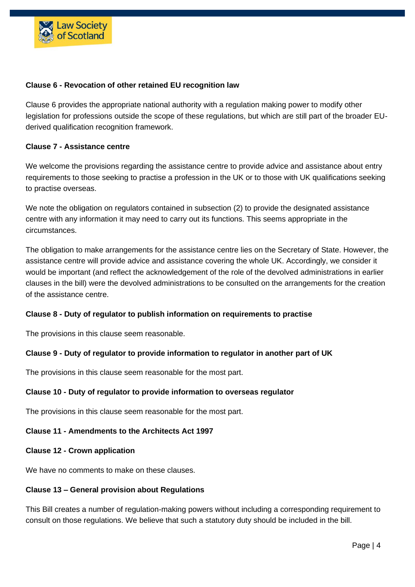

#### **Clause 6 - Revocation of other retained EU recognition law**

Clause 6 provides the appropriate national authority with a regulation making power to modify other legislation for professions outside the scope of these regulations, but which are still part of the broader EUderived qualification recognition framework.

#### **Clause 7 - Assistance centre**

We welcome the provisions regarding the assistance centre to provide advice and assistance about entry requirements to those seeking to practise a profession in the UK or to those with UK qualifications seeking to practise overseas.

We note the obligation on regulators contained in subsection (2) to provide the designated assistance centre with any information it may need to carry out its functions. This seems appropriate in the circumstances.

The obligation to make arrangements for the assistance centre lies on the Secretary of State. However, the assistance centre will provide advice and assistance covering the whole UK. Accordingly, we consider it would be important (and reflect the acknowledgement of the role of the devolved administrations in earlier clauses in the bill) were the devolved administrations to be consulted on the arrangements for the creation of the assistance centre.

#### **Clause 8 - Duty of regulator to publish information on requirements to practise**

The provisions in this clause seem reasonable.

#### **Clause 9 - Duty of regulator to provide information to regulator in another part of UK**

The provisions in this clause seem reasonable for the most part.

#### **Clause 10 - Duty of regulator to provide information to overseas regulator**

The provisions in this clause seem reasonable for the most part.

#### **Clause 11 - Amendments to the Architects Act 1997**

#### **Clause 12 - Crown application**

We have no comments to make on these clauses.

#### **Clause 13 – General provision about Regulations**

This Bill creates a number of regulation-making powers without including a corresponding requirement to consult on those regulations. We believe that such a statutory duty should be included in the bill.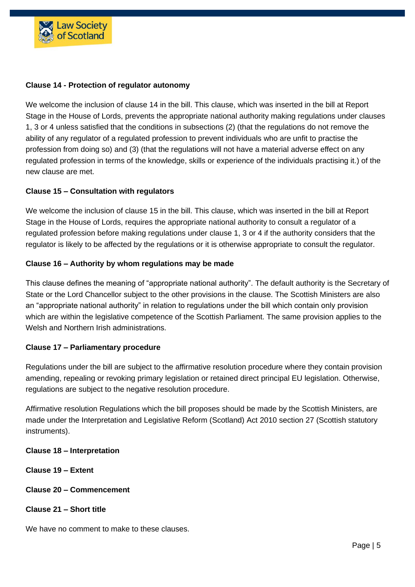

#### **Clause 14 - Protection of regulator autonomy**

We welcome the inclusion of clause 14 in the bill. This clause, which was inserted in the bill at Report Stage in the House of Lords, prevents the appropriate national authority making regulations under clauses 1, 3 or 4 unless satisfied that the conditions in subsections (2) (that the regulations do not remove the ability of any regulator of a regulated profession to prevent individuals who are unfit to practise the profession from doing so) and (3) (that the regulations will not have a material adverse effect on any regulated profession in terms of the knowledge, skills or experience of the individuals practising it.) of the new clause are met.

#### **Clause 15 – Consultation with regulators**

We welcome the inclusion of clause 15 in the bill. This clause, which was inserted in the bill at Report Stage in the House of Lords, requires the appropriate national authority to consult a regulator of a regulated profession before making regulations under clause 1, 3 or 4 if the authority considers that the regulator is likely to be affected by the regulations or it is otherwise appropriate to consult the regulator.

#### **Clause 16 – Authority by whom regulations may be made**

This clause defines the meaning of "appropriate national authority". The default authority is the Secretary of State or the Lord Chancellor subject to the other provisions in the clause. The Scottish Ministers are also an "appropriate national authority" in relation to regulations under the bill which contain only provision which are within the legislative competence of the Scottish Parliament. The same provision applies to the Welsh and Northern Irish administrations.

#### **Clause 17 – Parliamentary procedure**

Regulations under the bill are subject to the affirmative resolution procedure where they contain provision amending, repealing or revoking primary legislation or retained direct principal EU legislation. Otherwise, regulations are subject to the negative resolution procedure.

Affirmative resolution Regulations which the bill proposes should be made by the Scottish Ministers, are made under the Interpretation and Legislative Reform (Scotland) Act 2010 section 27 (Scottish statutory instruments).

#### **Clause 18 – Interpretation**

- **Clause 19 – Extent**
- **Clause 20 – Commencement**
- **Clause 21 – Short title**

We have no comment to make to these clauses.